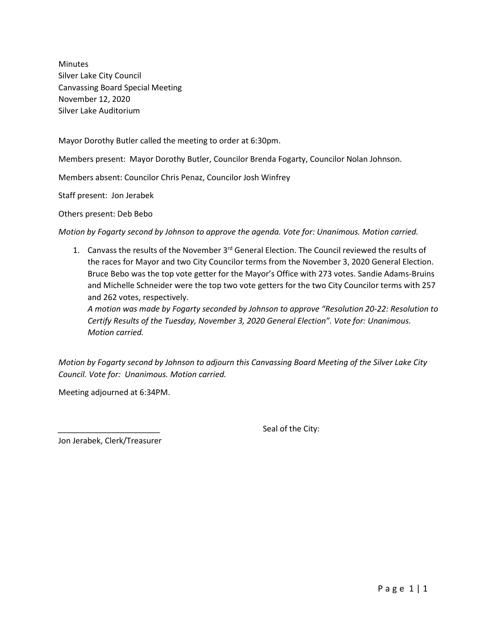Minutes Silver Lake City Council Canvassing Board Special Meeting November 12, 2020 Silver Lake Auditorium

Mayor Dorothy Butler called the meeting to order at 6:30pm.

Members present: Mayor Dorothy Butler, Councilor Brenda Fogarty, Councilor Nolan Johnson.

Members absent: Councilor Chris Penaz, Councilor Josh Winfrey

Staff present: Jon Jerabek

Others present: Deb Bebo

*Motion by Fogarty second by Johnson to approve the agenda. Vote for: Unanimous. Motion carried.*

1. Canvass the results of the November 3<sup>rd</sup> General Election. The Council reviewed the results of the races for Mayor and two City Councilor terms from the November 3, 2020 General Election. Bruce Bebo was the top vote getter for the Mayor's Office with 273 votes. Sandie Adams-Bruins and Michelle Schneider were the top two vote getters for the two City Councilor terms with 257 and 262 votes, respectively.

*A motion was made by Fogarty seconded by Johnson to approve "Resolution 20-22: Resolution to Certify Results of the Tuesday, November 3, 2020 General Election". Vote for: Unanimous. Motion carried.* 

*Motion by Fogarty second by Johnson to adjourn this Canvassing Board Meeting of the Silver Lake City Council. Vote for: Unanimous. Motion carried.*

Meeting adjourned at 6:34PM.

Seal of the City:

Jon Jerabek, Clerk/Treasurer